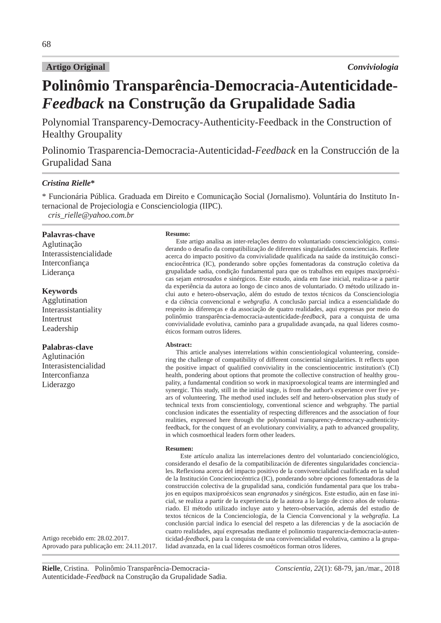#### **Artigo Original**

# Polinômio Transparência-Democracia-Autenticidade-Feedback na Construção da Grupalidade Sadia

Polynomial Transparency-Democracy-Authenticity-Feedback in the Construction of **Healthy Groupality** 

Polinomio Trasparencia-Democracia-Autenticidad-Feedback en la Construcción de la Grupalidad Sana

## **Cristina Rielle\***

\* Funcionária Pública. Graduada em Direito e Comunicação Social (Jornalismo). Voluntária do Instituto Internacional de Projeciologia e Conscienciologia (IIPC). cris rielle@yahoo.com.br

Palavras-chave

Aglutinação Interassistencialidade Interconfiança Liderança

#### **Keywords**

Agglutination Interassistantiality Intertrust Leadership

#### Palabras-clave

Aglutinación Interasistencialidad Interconfianza Liderazgo

#### Resumo:

Este artigo analisa as inter-relações dentro do voluntariado conscienciológico, considerando o desafio da compatibilização de diferentes singularidades conscienciais. Reflete acerca do impacto positivo da convivialidade qualificada na saúde da instituição conscienciocêntrica (IC), ponderando sobre opções fomentadoras da construção coletiva da grupalidade sadia, condição fundamental para que os trabalhos em equipes maxiproéxicas sejam entrosados e sinérgicos. Este estudo, ainda em fase inicial, realiza-se a partir da experiência da autora ao longo de cinco anos de voluntariado. O método utilizado inclui auto e hetero-observação, além do estudo de textos técnicos da Conscienciologia e da ciência convencional e webgrafia. A conclusão parcial indica a essencialidade do respeito às diferenças e da associação de quatro realidades, aqui expressas por meio do polinômio transparência-democracia-autenticidade-feedback, para a conquista de uma convivialidade evolutiva, caminho para a grupalidade avançada, na qual líderes cosmoéticos formam outros líderes.

#### **Abstract:**

This article analyses interrelations within conscientiological volunteering, considering the challenge of compatibility of different consciential singularities. It reflects upon the positive impact of qualified conviviality in the conscientiocentric institution's (CI) health, pondering about options that promote the collective construction of healthy groupality, a fundamental condition so work in maxiproexological teams are intermingled and synergic. This study, still in the initial stage, is from the author's experience over five years of volunteering. The method used includes self and hetero-observation plus study of technical texts from conscientiology, conventional science and webgraphy. The partial conclusion indicates the essentiality of respecting differences and the association of four realities, expressed here through the polynomial transparency-democracy-authenticityfeedback, for the conquest of an evolutionary conviviality, a path to advanced groupality, in which cosmoethical leaders form other leaders.

#### Resumen:

Este artículo analiza las interrelaciones dentro del voluntariado concienciológico, considerando el desafio de la compatibilización de diferentes singularidades concienciales. Reflexiona acerca del impacto positivo de la convivencialidad cualificada en la salud de la Institución Concienciocéntrica (IC), ponderando sobre opciones fomentadoras de la construcción colectiva de la grupalidad sana, condición fundamental para que los trabajos en equipos maxiproéxicos sean engranados y sinérgicos. Este estudio, aún en fase inicial, se realiza a partir de la experiencia de la autora a lo largo de cinco años de voluntariado. El método utilizado incluye auto y hetero-observación, además del estudio de textos técnicos de la Concienciología, de la Ciencia Convencional y la webgrafia. La conclusión parcial indica lo esencial del respeto a las diferencias y de la asociación de cuatro realidades, aquí expresadas mediante el polinomio trasparencia-democracia-autenticidad-feedback, para la conquista de una convivencialidad evolutiva, camino a la grupalidad avanzada, en la cual líderes cosmoéticos forman otros líderes.

Artigo recebido em: 28.02.2017. Aprovado para publicação em: 24.11.2017.

Rielle, Cristina. Polinômio Transparência-Democracia-Autenticidade-Feedback na Construção da Grupalidade Sadia.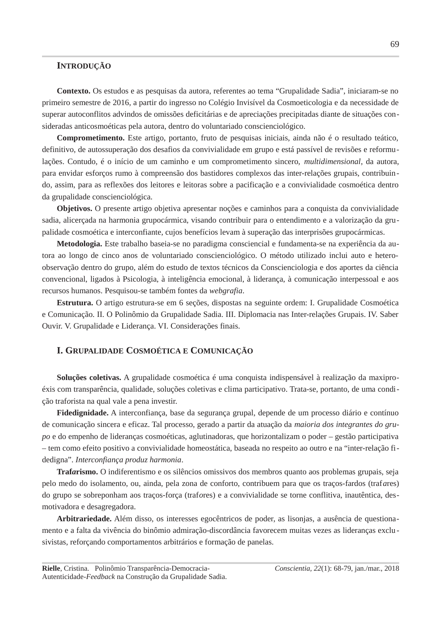## **INTRODUÇÃO**

Contexto. Os estudos e as pesquisas da autora, referentes ao tema "Grupalidade Sadia", iniciaram-se no primeiro semestre de 2016, a partir do ingresso no Colégio Invisível da Cosmoeticologia e da necessidade de superar autoconflitos advindos de omissões deficitárias e de apreciações precipitadas diante de situações consideradas anticosmoéticas pela autora, dentro do voluntariado conscienciológico.

Comprometimento. Este artigo, portanto, fruto de pesquisas iniciais, ainda não é o resultado teático, definitivo, de autossuperação dos desafios da convivialidade em grupo e está passível de revisões e reformulações. Contudo, é o início de um caminho e um comprometimento sincero, multidimensional, da autora, para envidar esforços rumo à compreensão dos bastidores complexos das inter-relações grupais, contribuindo, assim, para as reflexões dos leitores e leitoras sobre a pacificação e a convivialidade cosmoética dentro da grupalidade conscienciológica.

**Objetivos.** O presente artigo objetiva apresentar noções e caminhos para a conquista da convivialidade sadia, alicerçada na harmonia grupocármica, visando contribuir para o entendimento e a valorização da grupalidade cosmoética e interconfiante, cujos benefícios levam à superação das interprisões grupocármicas.

Metodologia. Este trabalho baseia-se no paradigma consciencial e fundamenta-se na experiência da autora ao longo de cinco anos de voluntariado conscienciológico. O método utilizado inclui auto e heteroobservação dentro do grupo, além do estudo de textos técnicos da Conscienciologia e dos aportes da ciência convencional, ligados à Psicologia, à inteligência emocional, à liderança, à comunicação interpessoal e aos recursos humanos. Pesquisou-se também fontes da webqrafia.

Estrutura. O artigo estrutura-se em 6 seções, dispostas na seguinte ordem: I. Grupalidade Cosmoética e Comunicação. II. O Polinômio da Grupalidade Sadia. III. Diplomacia nas Inter-relações Grupais. IV. Saber Ouvir. V. Grupalidade e Liderança. VI. Considerações finais.

#### I. GRUPALIDADE COSMOÉTICA E COMUNICAÇÃO

Soluções coletivas. A grupalidade cosmoética é uma conquista indispensável à realização da maxiproéxis com transparência, qualidade, soluções coletivas e clima participativo. Trata-se, portanto, de uma condicão traforista na qual vale a pena investir.

Fidedignidade. A interconfiança, base da segurança grupal, depende de um processo diário e contínuo de comunicação sincera e eficaz. Tal processo, gerado a partir da atuação da maioria dos integrantes do grupo e do empenho de lideranças cosmoéticas, aglutinadoras, que horizontalizam o poder – gestão participativa - tem como efeito positivo a convivialidade homeostática, baseada no respeito ao outro e na "inter-relação fidedigna". Interconfianca produz harmonia.

Trafarismo. O indiferentismo e os silêncios omissivos dos membros quanto aos problemas grupais, seja pelo medo do isolamento, ou, ainda, pela zona de conforto, contribuem para que os tracos-fardos (traf*ares*) do grupo se sobreponham aos traços-força (trafores) e a convivialidade se torne conflitiva, inautêntica, desmotivadora e desagregadora.

Arbitrariedade. Além disso, os interesses egocêntricos de poder, as lisonjas, a ausência de questionamento e a falta da vivência do binômio admiração-discordância favorecem muitas vezes as lideranças exclusivistas, reforçando comportamentos arbitrários e formação de panelas.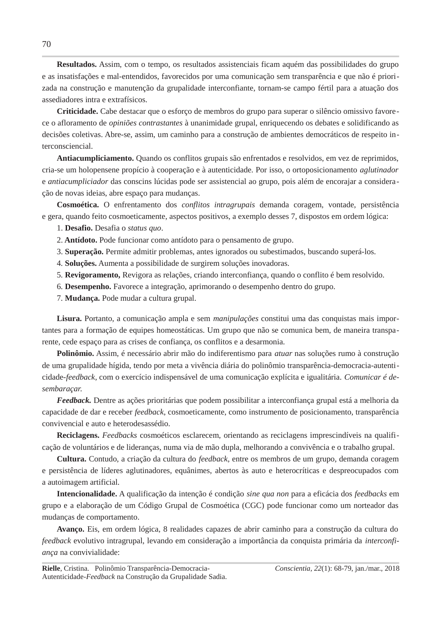Resultados. Assim, com o tempo, os resultados assistenciais ficam aquém das possibilidades do grupo e as insatisfações e mal-entendidos, favorecidos por uma comunicação sem transparência e que não é priorizada na construção e manutenção da grupalidade interconfiante, tornam-se campo fértil para a atuacão dos assediadores intra e extrafísicos.

Criticidade. Cabe destacar que o esforço de membros do grupo para superar o silêncio omissivo favorece o afloramento de *opiniões contrastantes* à unanimidade grupal, enriquecendo os debates e solidificando as decisões coletivas. Abre-se, assim, um caminho para a construção de ambientes democráticos de respeito interconsciencial.

Antiacumpliciamento. Quando os conflitos grupais são enfrentados e resolvidos, em vez de reprimidos, cria-se um holopensene propício à cooperação e à autenticidade. Por isso, o ortoposicionamento *aglutinador* e antiacumpliciador das conscins lúcidas pode ser assistencial ao grupo, pois além de encorajar a consideracão de novas ideias, abre espaco para mudanças.

Cosmoética. O enfrentamento dos conflitos intragrupais demanda coragem, vontade, persistência e gera, quando feito cosmoeticamente, aspectos positivos, a exemplo desses 7, dispostos em ordem lógica:

1. Desafio. Desafia o status quo.

2. Antídoto. Pode funcionar como antídoto para o pensamento de grupo.

3. Superação. Permite admitir problemas, antes ignorados ou subestimados, buscando superá-los.

4. Soluções. Aumenta a possibilidade de surgirem soluções inovadoras.

5. Revigoramento, Revigora as relações, criando interconfiança, quando o conflito é bem resolvido.

6. Desempenho. Favorece a integração, aprimorando o desempenho dentro do grupo.

7. Mudança. Pode mudar a cultura grupal.

Lisura. Portanto, a comunicação ampla e sem manipulações constitui uma das conquistas mais importantes para a formação de equipes homeostáticas. Um grupo que não se comunica bem, de maneira transparente, cede espaço para as crises de confiança, os conflitos e a desarmonia.

Polinômio. Assim, é necessário abrir mão do indiferentismo para *atuar* nas soluções rumo à construção de uma grupalidade hígida, tendo por meta a vivência diária do polinômio transparência-democracia-autenticidade-feedback, com o exercício indispensável de uma comunicação explícita e igualitária. Comunicar é desembaracar.

Feedback. Dentre as ações prioritárias que podem possibilitar a interconfiança grupal está a melhoria da capacidade de dar e receber feedback, cosmoeticamente, como instrumento de posicionamento, transparência convivencial e auto e heterodesassédio.

Reciclagens. Feedbacks cosmoéticos esclarecem, orientando as reciclagens imprescindíveis na qualificação de voluntários e de lideranças, numa via de mão dupla, melhorando a convivência e o trabalho grupal.

**Cultura.** Contudo, a criação da cultura do *feedback*, entre os membros de um grupo, demanda coragem e persistência de líderes aglutinadores, equânimes, abertos às auto e heterocríticas e despreocupados com a autoimagem artificial.

Intencionalidade. A qualificação da intenção é condição sine qua non para a eficácia dos feedbacks em grupo e a elaboração de um Código Grupal de Cosmoética (CGC) pode funcionar como um norteador das mudancas de comportamento.

Avanço. Eis, em ordem lógica, 8 realidades capazes de abrir caminho para a construção da cultura do feedback evolutivo intragrupal, levando em consideração a importância da conquista primária da interconfiança na convivialidade: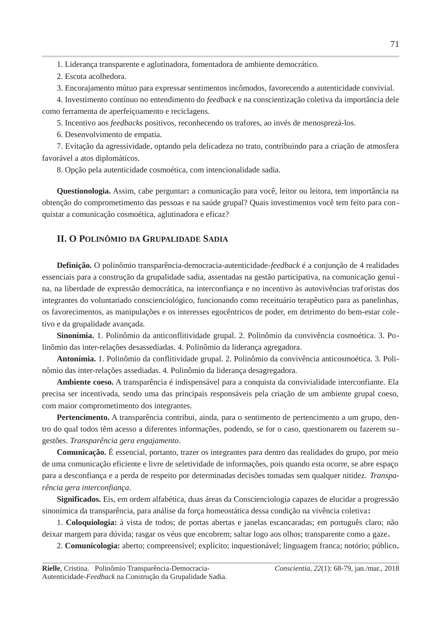1. Liderança transparente e aglutinadora, fomentadora de ambiente democrático.

2. Escuta acolhedora.

3. Encorajamento mútuo para expressar sentimentos incômodos, favorecendo a autenticidade convivial.

4. Investimento contínuo no entendimento do *feedback* e na conscientização coletiva da importância dele como ferramenta de aperfeicoamento e reciclagens.

5. Incentivo aos *feedbacks* positivos, reconhecendo os trafores, ao invés de menosprezá-los.

6. Desenvolvimento de empatia.

7. Evitação da agressividade, optando pela delicadeza no trato, contribuindo para a criação de atmosfera favorável a atos diplomáticos.

8. Opção pela autenticidade cosmoética, com intencionalidade sadia.

**Questionologia.** Assim, cabe perguntar: a comunicação para você, leitor ou leitora, tem importância na obtenção do comprometimento das pessoas e na saúde grupal? Quais investimentos você tem feito para conquistar a comunicação cosmoética, aglutinadora e eficaz?

# II. O POLINÔMIO DA GRUPALIDADE SADIA

**Definição.** O polinômio transparência-democracia-autenticidade-feedback é a conjunção de 4 realidades essenciais para a construção da grupalidade sadia, assentadas na gestão participativa, na comunicação genuína, na liberdade de expressão democrática, na interconfianca e no incentivo às autovivências traforistas dos integrantes do voluntariado conscienciológico, funcionando como receituário terapêutico para as panelinhas, os favorecimentos, as manipulações e os interesses egocêntricos de poder, em detrimento do bem-estar coletivo e da grupalidade avançada.

Sinonímia. 1. Polinômio da anticonflitividade grupal. 2. Polinômio da convivência cosmoética. 3. Polinômio das inter-relações desassediadas. 4. Polinômio da liderança agregadora.

Antonímia. 1. Polinômio da conflitividade grupal. 2. Polinômio da convivência anticosmoética. 3. Polinômio das inter-relações assediadas. 4. Polinômio da liderança desagregadora.

Ambiente coeso. A transparência é indispensável para a conquista da convivialidade interconfiante. Ela precisa ser incentivada, sendo uma das principais responsáveis pela criação de um ambiente grupal coeso, com maior comprometimento dos integrantes.

Pertencimento. A transparência contribui, ainda, para o sentimento de pertencimento a um grupo, dentro do qual todos têm acesso a diferentes informações, podendo, se for o caso, questionarem ou fazerem sugestões. Transparência gera engajamento.

Comunicação. É essencial, portanto, trazer os integrantes para dentro das realidades do grupo, por meio de uma comunicação eficiente e livre de seletividade de informações, pois quando esta ocorre, se abre espaço para a desconfiança e a perda de respeito por determinadas decisões tomadas sem qualquer nitidez. Transparência gera interconfiança.

Significados. Eis, em ordem alfabética, duas áreas da Conscienciologia capazes de elucidar a progressão sinonímica da transparência, para análise da força homeostática dessa condição na vivência coletiva:

1. Coloquiologia: à vista de todos; de portas abertas e janelas escancaradas; em português claro; não deixar margem para dúvida; rasgar os véus que encobrem; saltar logo aos olhos; transparente como a gaze.

2. Comunicologia: aberto; compreensível; explícito; inquestionável; linguagem franca; notório; público.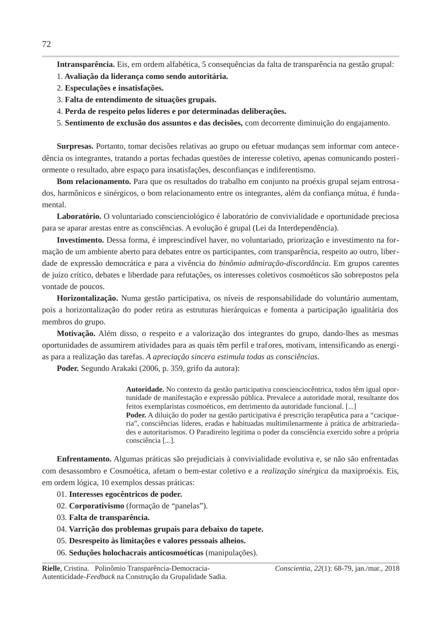Intransparência. Eis, em ordem alfabética, 5 consequências da falta de transparência na gestão grupal:

- 1. Avaliação da liderança como sendo autoritária.
- 2. Especulações e insatisfações.
- 3. Falta de entendimento de situações grupais.
- 4. Perda de respeito pelos líderes e por determinadas deliberações.
- 5. Sentimento de exclusão dos assuntos e das decisões, com decorrente diminuição do engajamento.

Surpresas. Portanto, tomar decisões relativas ao grupo ou efetuar mudanças sem informar com antecedência os integrantes, tratando a portas fechadas questões de interesse coletivo, apenas comunicando posteriormente o resultado, abre espaço para insatisfações, desconfianças e indiferentismo.

Bom relacionamento. Para que os resultados do trabalho em conjunto na proéxis grupal sejam entrosados, harmônicos e sinérgicos, o bom relacionamento entre os integrantes, além da confianca mútua, é fundamental.

Laboratório. O voluntariado conscienciológico é laboratório de convivialidade e oportunidade preciosa para se aparar arestas entre as consciências. A evolução é grupal (Lei da Interdependência).

Investimento. Dessa forma, é imprescindível haver, no voluntariado, priorização e investimento na formação de um ambiente aberto para debates entre os participantes, com transparência, respeito ao outro, liberdade de expressão democrática e para a vivência do binômio admiração-discordância. Em grupos carentes de juízo crítico, debates e liberdade para refutações, os interesses coletivos cosmoéticos são sobrepostos pela vontade de poucos.

Horizontalização. Numa gestão participativa, os níveis de responsabilidade do voluntário aumentam, pois a horizontalização do poder retira as estruturas hierárquicas e fomenta a participação igualitária dos membros do grupo.

Motivação. Além disso, o respeito e a valorização dos integrantes do grupo, dando-lhes as mesmas oportunidades de assumirem atividades para as quais têm perfil e trafores, motivam, intensificando as energias para a realização das tarefas. A apreciação sincera estimula todas as consciências.

Poder. Segundo Arakaki (2006, p. 359, grifo da autora):

Autoridade. No contexto da gestão participativa conscienciocêntrica, todos têm igual oportunidade de manifestação e expressão pública. Prevalece a autoridade moral, resultante dos feitos exemplaristas cosmoéticos, em detrimento da autoridade funcional. [...] **Poder.** A diluição do poder na gestão participativa é prescrição terapêutica para a "caciqueria", consciências líderes, eradas e habituadas multimilenarmente à prática de arbitrariedades e autoritarismos. O Paradireito legitima o poder da consciência exercido sobre a própria consciência [...].

**Enfrentamento.** Algumas práticas são prejudiciais à convivialidade evolutiva e, se não são enfrentadas com desassombro e Cosmoética, afetam o bem-estar coletivo e a realização sinérgica da maxiproéxis. Eis, em ordem lógica, 10 exemplos dessas práticas:

#### 01. Interesses egocêntricos de poder.

- 02. Corporativismo (formação de "panelas").
- 03. Falta de transparência.
- 04. Varrição dos problemas grupais para debaixo do tapete.
- 05. Desrespeito às limitações e valores pessoais alheios.
- 06. Seduções holochacrais anticosmoéticas (manipulações).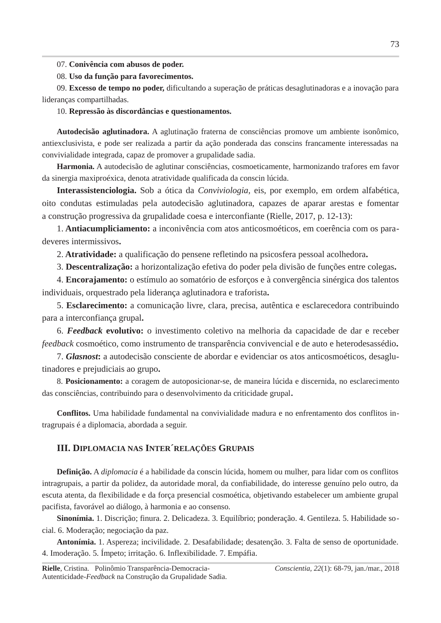07. Conivência com abusos de poder.

# 08. Uso da função para favorecimentos.

09. Excesso de tempo no poder, dificultando a superação de práticas desaglutinadoras e a inovação para lideranças compartilhadas.

# 10. Repressão às discordâncias e questionamentos.

Autodecisão aglutinadora. A aglutinação fraterna de consciências promove um ambiente isonômico, antiexclusivista, e pode ser realizada a partir da ação ponderada das conscins francamente interessadas na convivialidade integrada, capaz de promover a grupalidade sadia.

Harmonia. A autodecisão de aglutinar consciências, cosmoeticamente, harmonizando trafores em favor da sinergia maxiproéxica, denota atratividade qualificada da conscin lúcida.

Interassistenciologia. Sob a ótica da Conviviologia, eis, por exemplo, em ordem alfabética, oito condutas estimuladas pela autodecisão aglutinadora, capazes de aparar arestas e fomentar a construção progressiva da grupalidade coesa e interconfiante (Rielle, 2017, p. 12-13):

1. Antiacumpliciamento: a inconivência com atos anticosmoéticos, em coerência com os paradeveres intermissivos.

2. Atratividade: a qualificação do pensene refletindo na psicosfera pessoal acolhedora.

3. Descentralização: a horizontalização efetiva do poder pela divisão de funções entre colegas.

4. Encorajamento: o estímulo ao somatório de esforços e à convergência sinérgica dos talentos individuais, orquestrado pela liderança aglutinadora e traforista.

5. Esclarecimento: a comunicação livre, clara, precisa, autêntica e esclarecedora contribuindo para a interconfiança grupal.

6. Feedback evolutivo: o investimento coletivo na melhoria da capacidade de dar e receber feedback cosmoético, como instrumento de transparência convivencial e de auto e heterodesassédio.

7. Glasnost: a autodecisão consciente de abordar e evidenciar os atos anticosmoéticos, desaglutinadores e prejudiciais ao grupo.

8. Posicionamento: a coragem de autoposicionar-se, de maneira lúcida e discernida, no esclarecimento das consciências, contribuindo para o desenvolvimento da criticidade grupal.

Conflitos. Uma habilidade fundamental na convivialidade madura e no enfrentamento dos conflitos intragrupais é a diplomacia, abordada a seguir.

# III. DIPLOMACIA NAS INTER RELAÇÕES GRUPAIS

Definição. A diplomacia é a habilidade da conscin lúcida, homem ou mulher, para lidar com os conflitos intragrupais, a partir da polidez, da autoridade moral, da confiabilidade, do interesse genuíno pelo outro, da escuta atenta, da flexibilidade e da força presencial cosmoética, objetivando estabelecer um ambiente grupal pacifista, favorável ao diálogo, à harmonia e ao consenso.

Sinonímia. 1. Discrição; finura. 2. Delicadeza. 3. Equilíbrio; ponderação. 4. Gentileza. 5. Habilidade social. 6. Moderação; negociação da paz.

Antonímia. 1. Aspereza; incivilidade. 2. Desafabilidade; desatenção. 3. Falta de senso de oportunidade. 4. Imoderação. 5. Ímpeto; irritação. 6. Inflexibilidade. 7. Empáfia.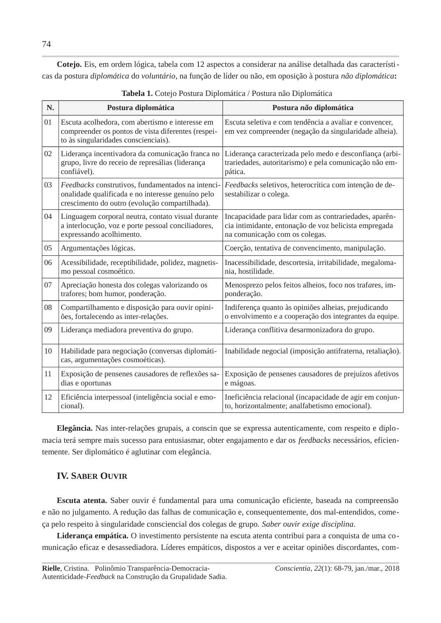Cotejo. Eis, em ordem lógica, tabela com 12 aspectos a considerar na análise detalhada das características da postura diplomática do voluntário, na função de líder ou não, em oposição à postura não diplomática:

| N. | Postura diplomática                                                                                                                                      | Postura não diplomática                                                                                                                           |
|----|----------------------------------------------------------------------------------------------------------------------------------------------------------|---------------------------------------------------------------------------------------------------------------------------------------------------|
| 01 | Escuta acolhedora, com abertismo e interesse em<br>compreender os pontos de vista diferentes (respei-<br>to às singularidades conscienciais).            | Escuta seletiva e com tendência a avaliar e convencer,<br>em vez compreender (negação da singularidade alheia).                                   |
| 02 | Liderança incentivadora da comunicação franca no<br>grupo, livre do receio de represálias (liderança<br>confiável).                                      | Liderança caracterizada pelo medo e desconfiança (arbi-<br>trariedades, autoritarismo) e pela comunicação não em-<br>pática.                      |
| 03 | Feedbacks construtivos, fundamentados na intenci-<br>onalidade qualificada e no interesse genuíno pelo<br>crescimento do outro (evolução compartilhada). | Feedbacks seletivos, heterocrítica com intenção de de-<br>sestabilizar o colega.                                                                  |
| 04 | Linguagem corporal neutra, contato visual durante<br>a interlocução, voz e porte pessoal conciliadores,<br>expressando acolhimento.                      | Incapacidade para lidar com as contrariedades, aparên-<br>cia intimidante, entonação de voz belicista empregada<br>na comunicação com os colegas. |
| 05 | Argumentações lógicas.                                                                                                                                   | Coerção, tentativa de convencimento, manipulação.                                                                                                 |
| 06 | Acessibilidade, receptibilidade, polidez, magnetis-<br>mo pessoal cosmoético.                                                                            | Inacessibilidade, descortesia, irritabilidade, megaloma-<br>nia, hostilidade.                                                                     |
| 07 | Apreciação honesta dos colegas valorizando os<br>trafores; bom humor, ponderação.                                                                        | Menosprezo pelos feitos alheios, foco nos trafares, im-<br>ponderação.                                                                            |
| 08 | Compartilhamento e disposição para ouvir opini-<br>ões, fortalecendo as inter-relações.                                                                  | Indiferença quanto às opiniões alheias, prejudicando<br>o envolvimento e a cooperação dos integrantes da equipe.                                  |
| 09 | Liderança mediadora preventiva do grupo.                                                                                                                 | Liderança conflitiva desarmonizadora do grupo.                                                                                                    |
| 10 | Habilidade para negociação (conversas diplomáti-<br>cas, argumentações cosmoéticas).                                                                     | Inabilidade negocial (imposição antifraterna, retaliação).                                                                                        |
| 11 | Exposição de pensenes causadores de reflexões sa-<br>dias e oportunas                                                                                    | Exposição de pensenes causadores de prejuízos afetivos<br>e mágoas.                                                                               |
| 12 | Eficiência interpessoal (inteligência social e emo-<br>cional).                                                                                          | Ineficiência relacional (incapacidade de agir em conjun-<br>to, horizontalmente; analfabetismo emocional).                                        |

Tabela 1. Cotejo Postura Diplomática / Postura não Diplomática

Elegância. Nas inter-relações grupais, a conscin que se expressa autenticamente, com respeito e diplomacia terá sempre mais sucesso para entusiasmar, obter engajamento e dar os feedbacks necessários, eficientemente. Ser diplomático é aglutinar com elegância.

# **IV. SABER OUVIR**

Escuta atenta. Saber ouvir é fundamental para uma comunicação eficiente, baseada na compreensão e não no julgamento. A redução das falhas de comunicação e, consequentemente, dos mal-entendidos, começa pelo respeito à singularidade consciencial dos colegas de grupo. Saber ouvir exige disciplina.

Liderança empática. O investimento persistente na escuta atenta contribui para a conquista de uma comunicação eficaz e desassediadora. Líderes empáticos, dispostos a ver e aceitar opiniões discordantes, com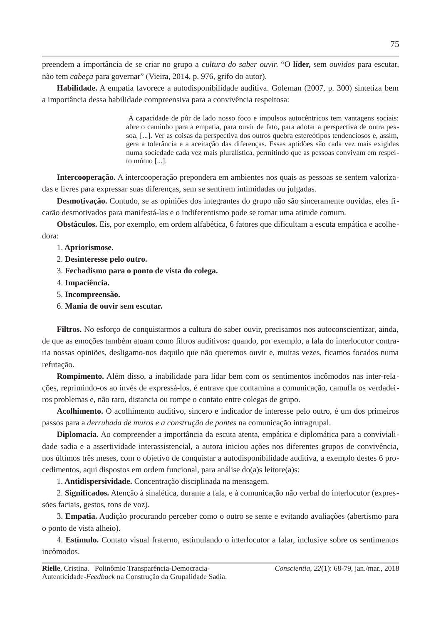preendem a importância de se criar no grupo a *cultura do saber ouvir*. "O líder, sem *ouvidos* para escutar, não tem cabeça para governar" (Vieira, 2014, p. 976, grifo do autor).

Habilidade. A empatia favorece a autodisponibilidade auditiva. Goleman (2007, p. 300) sintetiza bem a importância dessa habilidade compreensiva para a convivência respeitosa:

> A capacidade de pôr de lado nosso foco e impulsos autocêntricos tem vantagens sociais: abre o caminho para a empatia, para ouvir de fato, para adotar a perspectiva de outra pessoa. [...]. Ver as coisas da perspectiva dos outros quebra estereótipos tendenciosos e, assim, gera a tolerância e a aceitação das diferenças. Essas aptidões são cada vez mais exigidas numa sociedade cada vez mais pluralística, permitindo que as pessoas convivam em respeito mútuo  $[\dots]$ .

Intercooperação. A intercooperação prepondera em ambientes nos quais as pessoas se sentem valorizadas e livres para expressar suas diferenças, sem se sentirem intimidadas ou julgadas.

Desmotivação. Contudo, se as opiniões dos integrantes do grupo não são sinceramente ouvidas, eles ficarão desmotivados para manifestá-las e o indiferentismo pode se tornar uma atitude comum.

**Obstáculos.** Eis, por exemplo, em ordem alfabética, 6 fatores que dificultam a escuta empática e acolhedora:

#### 1. Apriorismose.

- 2. Desinteresse pelo outro.
- 3. Fechadismo para o ponto de vista do colega.
- 4. Impaciência.
- 5. Incompreensão.
- 6. Mania de ouvir sem escutar.

Filtros. No esforço de conquistarmos a cultura do saber ouvir, precisamos nos autoconscientizar, ainda, de que as emoções também atuam como filtros auditivos: quando, por exemplo, a fala do interlocutor contraria nossas opiniões, desligamo-nos daquilo que não queremos ouvir e, muitas vezes, ficamos focados numa refutação.

Rompimento. Além disso, a inabilidade para lidar bem com os sentimentos incômodos nas inter-relações, reprimindo-os ao invés de expressá-los, é entrave que contamina a comunicação, camufla os verdadeiros problemas e, não raro, distancia ou rompe o contato entre colegas de grupo.

Acolhimento. O acolhimento auditivo, sincero e indicador de interesse pelo outro, é um dos primeiros passos para a derrubada de muros e a construção de pontes na comunicação intragrupal.

Diplomacia. Ao compreender a importância da escuta atenta, empática e diplomática para a convivialidade sadia e a assertividade interassistencial, a autora iniciou ações nos diferentes grupos de convivência, nos últimos três meses, com o objetivo de conquistar a autodisponibilidade auditiva, a exemplo destes 6 procedimentos, aqui dispostos em ordem funcional, para análise do(a)s leitore(a)s:

1. Antidispersividade. Concentração disciplinada na mensagem.

2. Significados. Atenção à sinalética, durante a fala, e à comunicação não verbal do interlocutor (expressões faciais, gestos, tons de voz).

3. Empatia. Audição procurando perceber como o outro se sente e evitando avaliações (abertismo para o ponto de vista alheio).

4. Estímulo. Contato visual fraterno, estimulando o interlocutor a falar, inclusive sobre os sentimentos incômodos.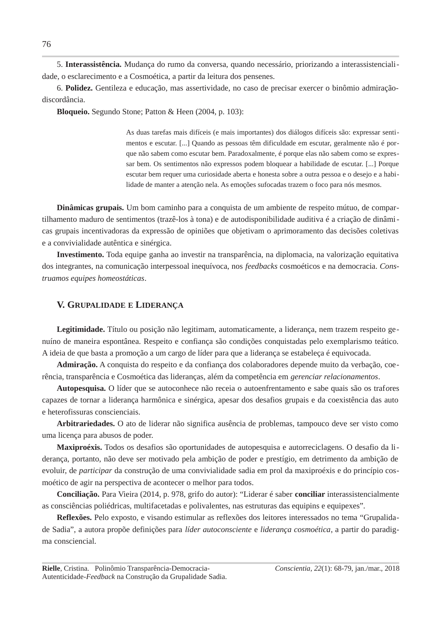5. Interassistência. Mudança do rumo da conversa, quando necessário, priorizando a interassistencialidade, o esclarecimento e a Cosmoética, a partir da leitura dos pensenes.

6. Polidez. Gentileza e educação, mas assertividade, no caso de precisar exercer o binômio admiraçãodiscordância.

**Bloqueio.** Segundo Stone; Patton & Heen (2004, p. 103):

As duas tarefas mais difíceis (e mais importantes) dos diálogos difíceis são: expressar sentimentos e escutar. [...] Quando as pessoas têm dificuldade em escutar, geralmente não é porque não sabem como escutar bem. Paradoxalmente, é porque elas não sabem como se expressar bem. Os sentimentos não expressos podem bloquear a habilidade de escutar. [...] Porque escutar bem requer uma curiosidade aberta e honesta sobre a outra pessoa e o desejo e a habilidade de manter a atenção nela. As emoções sufocadas trazem o foco para nós mesmos.

**Dinâmicas grupais.** Um bom caminho para a conquista de um ambiente de respeito mútuo, de compartilhamento maduro de sentimentos (trazê-los à tona) e de autodisponibilidade auditiva é a criação de dinâmicas grupais incentivadoras da expressão de opiniões que objetivam o aprimoramento das decisões coletivas e a convivialidade autêntica e sinérgica.

Investimento. Toda equipe ganha ao investir na transparência, na diplomacia, na valorização equitativa dos integrantes, na comunicação interpessoal inequívoca, nos feedbacks cosmoéticos e na democracia. Construamos equipes homeostáticas.

## V. GRUPALIDADE E LIDERANCA

Legitimidade. Título ou posição não legitimam, automaticamente, a liderança, nem trazem respeito genuíno de maneira espontânea. Respeito e confiança são condições conquistadas pelo exemplarismo teático. A ideia de que basta a promoção a um cargo de líder para que a liderança se estabeleca é equivocada.

Admiração. A conquista do respeito e da confiança dos colaboradores depende muito da verbação, coerência, transparência e Cosmoética das lideranças, além da competência em *gerenciar relacionamentos*.

Autopesquisa. O líder que se autoconhece não receia o autoenfrentamento e sabe quais são os trafores capazes de tornar a liderança harmônica e sinérgica, apesar dos desafios grupais e da coexistência das auto e heterofissuras conscienciais.

Arbitrariedades. O ato de liderar não significa ausência de problemas, tampouco deve ser visto como uma licença para abusos de poder.

Maxiproéxis. Todos os desafios são oportunidades de autopesquisa e autorreciclagens. O desafio da lideranca, portanto, não deve ser motivado pela ambição de poder e prestígio, em detrimento da ambição de evoluir, de participar da construção de uma convivialidade sadia em prol da maxiproéxis e do princípio cosmoético de agir na perspectiva de acontecer o melhor para todos.

Conciliação. Para Vieira (2014, p. 978, grifo do autor): "Liderar é saber conciliar interassistencialmente as consciências poliédricas, multifacetadas e polivalentes, nas estruturas das equipins e equipexes".

Reflexões. Pelo exposto, e visando estimular as reflexões dos leitores interessados no tema "Grupalidade Sadia", a autora propõe definições para líder autoconsciente e liderança cosmoética, a partir do paradigma consciencial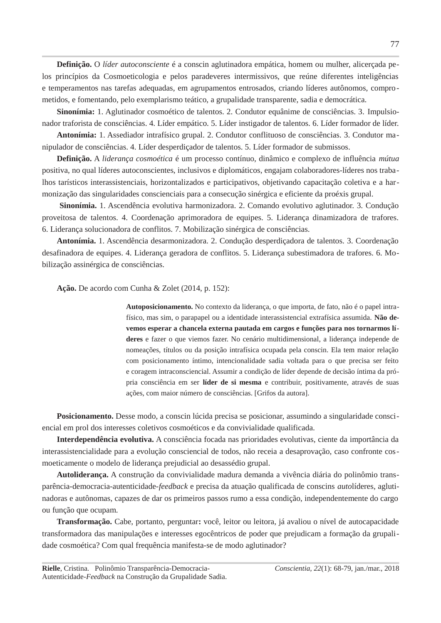**Definição.** O líder autoconsciente é a conscin aglutinadora empática, homem ou mulher, alicerçada pelos princípios da Cosmoeticologia e pelos paradeveres intermissivos, que reúne diferentes inteligências e temperamentos nas tarefas adequadas, em agrupamentos entrosados, criando líderes autônomos, comprometidos, e fomentando, pelo exemplarismo teático, a grupalidade transparente, sadia e democrática.

Sinonímia: 1. Aglutinador cosmoético de talentos. 2. Condutor equânime de consciências. 3. Impulsionador traforista de consciências. 4. Líder empático. 5. Líder instigador de talentos. 6. Líder formador de líder.

Antonímia: 1. Assediador intrafísico grupal. 2. Condutor conflituoso de consciências. 3. Condutor manipulador de consciências. 4. Líder desperdiçador de talentos. 5. Líder formador de submissos.

Definição. A liderança cosmoética é um processo contínuo, dinâmico e complexo de influência mútua positiva, no qual líderes autoconscientes, inclusivos e diplomáticos, engajam colaboradores-líderes nos trabalhos tarísticos interassistenciais, horizontalizados e participativos, objetivando capacitação coletiva e a harmonização das singularidades conscienciais para a consecução sinérgica e eficiente da proéxis grupal.

Sinonímia. 1. Ascendência evolutiva harmonizadora. 2. Comando evolutivo aglutinador. 3. Condução proveitosa de talentos. 4. Coordenação aprimoradora de equipes. 5. Liderança dinamizadora de trafores. 6. Liderança solucionadora de conflitos. 7. Mobilização sinérgica de consciências.

Antonímia. 1. Ascendência desarmonizadora. 2. Condução desperdicadora de talentos. 3. Coordenação desafinadora de equipes. 4. Liderança geradora de conflitos. 5. Liderança subestimadora de trafores. 6. Mobilização assinérgica de consciências.

Ação. De acordo com Cunha & Zolet (2014, p. 152):

Autoposicionamento. No contexto da liderança, o que importa, de fato, não é o papel intrafísico, mas sim, o parapapel ou a identidade interassistencial extrafísica assumida. Não devemos esperar a chancela externa pautada em cargos e funcões para nos tornarmos líderes e fazer o que viemos fazer. No cenário multidimensional, a liderança independe de nomeações, títulos ou da posição intrafísica ocupada pela conscin. Ela tem maior relação com posicionamento íntimo, intencionalidade sadia voltada para o que precisa ser feito e coragem intraconsciencial. Assumir a condição de líder depende de decisão íntima da própria consciência em ser líder de si mesma e contribuir, positivamente, através de suas ações, com maior número de consciências. [Grifos da autora].

Posicionamento. Desse modo, a conscin lúcida precisa se posicionar, assumindo a singularidade consciencial em prol dos interesses coletivos cosmoéticos e da convivialidade qualificada.

Interdependência evolutiva. A consciência focada nas prioridades evolutivas, ciente da importância da interassistencialidade para a evolução consciencial de todos, não receia a desaprovação, caso confronte cosmoeticamente o modelo de liderança prejudicial ao desassédio grupal.

Autoliderança. A construção da convivialidade madura demanda a vivência diária do polinômio transparência-democracia-autenticidade-feedback e precisa da atuação qualificada de conscins autolíderes, aglutinadoras e autônomas, capazes de dar os primeiros passos rumo a essa condição, independentemente do cargo ou função que ocupam.

Transformação. Cabe, portanto, perguntar: você, leitor ou leitora, já avaliou o nível de autocapacidade transformadora das manipulações e interesses egocêntricos de poder que prejudicam a formação da grupalidade cosmoética? Com qual frequência manifesta-se de modo aglutinador?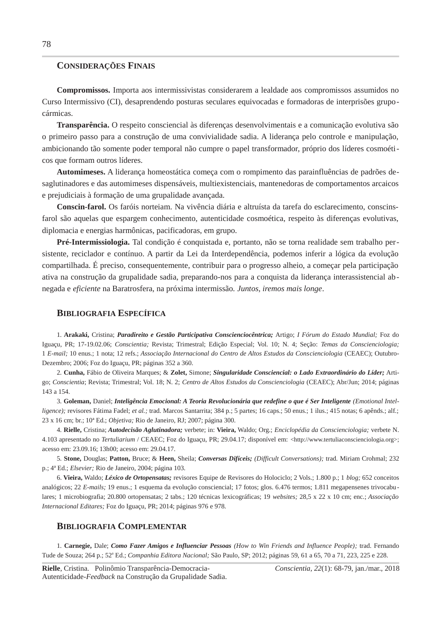#### **CONSIDERAÇÕES FINAIS**

Compromissos. Importa aos intermissivistas considerarem a lealdade aos compromissos assumidos no Curso Intermissivo (CI), desaprendendo posturas seculares equivocadas e formadoras de interprisões grupocármicas.

Transparência. O respeito consciencial às diferenças desenvolvimentais e a comunicação evolutiva são o primeiro passo para a construção de uma convivialidade sadia. A liderança pelo controle e manipulação, ambicionando tão somente poder temporal não cumpre o papel transformador, próprio dos líderes cosmoéticos que formam outros líderes.

Automimeses. A liderança homeostática começa com o rompimento das parainfluências de padrões desaglutinadores e das automimeses dispensáveis, multiexistenciais, mantenedoras de comportamentos arcaicos e prejudiciais à formação de uma grupalidade avançada.

Conscin-farol. Os faróis norteiam. Na vivência diária e altruísta da tarefa do esclarecimento, conscinsfarol são aquelas que espargem conhecimento, autenticidade cosmoética, respeito às diferenças evolutivas, diplomacia e energias harmônicas, pacificadoras, em grupo.

Pré-Intermissiologia. Tal condição é conquistada e, portanto, não se torna realidade sem trabalho persistente, reciclador e contínuo. A partir da Lei da Interdependência, podemos inferir a lógica da evolução compartilhada. É preciso, consequentemente, contribuir para o progresso alheio, a comecar pela participação ativa na construção da grupalidade sadia, preparando-nos para a conquista da liderança interassistencial abnegada e eficiente na Baratrosfera, na próxima intermissão. Juntos, iremos mais longe.

#### **BIBLIOGRAFIA ESPECÍFICA**

1. Arakaki, Cristina; Paradireito e Gestão Participativa Conscienciocêntrica; Artigo; I Fórum do Estado Mundial; Foz do Iguaçu, PR; 17-19.02.06; Conscientia; Revista; Trimestral; Edição Especial; Vol. 10; N. 4; Seção: Temas da Conscienciologia; 1 E-mail; 10 enus.; 1 nota; 12 refs.; Associação Internacional do Centro de Altos Estudos da Conscienciologia (CEAEC); Outubro-Dezembro; 2006; Foz do Iguaçu, PR; páginas 352 a 360.

2. Cunha, Fábio de Oliveira Marques; & Zolet, Simone; Singularidade Consciencial: o Lado Extraordinário do Líder; Artigo; Conscientia; Revista; Trimestral; Vol. 18; N. 2; Centro de Altos Estudos da Conscienciologia (CEAEC); Abr/Jun; 2014; páginas 143 a 154.

3. Goleman, Daniel; Inteligência Emocional: A Teoria Revolucionária que redefine o que é Ser Inteligente (Emotional Intelligence); revisores Fátima Fadel; et al.; trad. Marcos Santarrita; 384 p.; 5 partes; 16 caps.; 50 enus.; 1 ilus.; 415 notas; 6 apênds.; alf.; 23 x 16 cm; br.; 10<sup>a</sup> Ed.; Objetiva; Rio de Janeiro, RJ; 2007; página 300.

4. Rielle, Cristina; Autodecisão Aglutinadora; verbete; in: Vieira, Waldo; Org.; Enciclopédia da Conscienciologia; verbete N. 4.103 apresentado no Tertuliarium / CEAEC; Foz do Iguaçu, PR; 29.04.17; disponível em: <http://www.tertuliaconscienciologia.org>; acesso em: 23.09.16; 13h00; acesso em: 29.04.17.

5. Stone, Douglas; Patton, Bruce; & Heen, Sheila; Conversas Difíceis; (Difficult Conversations); trad. Miriam Crohmal; 232 p.; 4ª Ed.; Elsevier; Rio de Janeiro, 2004; página 103.

6. Vieira, Waldo; Léxico de Ortopensatas; revisores Equipe de Revisores do Holociclo; 2 Vols.; 1.800 p.; 1 blog; 652 conceitos analógicos; 22 E-mails; 19 enus.; 1 esquema da evolução consciencial; 17 fotos; glos. 6.476 termos; 1.811 megapensenes trivocabulares; 1 microbiografia; 20.800 ortopensatas; 2 tabs.; 120 técnicas lexicográficas; 19 websites; 28,5 x 22 x 10 cm; enc.; Associação Internacional Editares; Foz do Iguacu, PR; 2014; páginas 976 e 978.

#### **BIBLIOGRAFIA COMPLEMENTAR**

1. Carnegie, Dale; Como Fazer Amigos e Influenciar Pessoas (How to Win Friends and Influence People); trad. Fernando Tude de Souza; 264 p.; 52<sup>ª</sup> Ed.; Companhia Editora Nacional; São Paulo, SP; 2012; páginas 59, 61 a 65, 70 a 71, 223, 225 e 228.